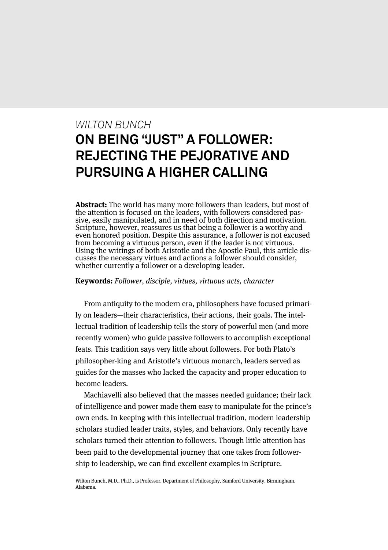# *WILTON BUNCH* **ON BEING "JUST" A FOLLOWER: REJECTING THE PEJORATIVE AND PURSUING A HIGHER CALLING**

**Abstract:** The world has many more followers than leaders, but most of the attention is focused on the leaders, with followers considered passive, easily manipulated, and in need of both direction and motivation. Scripture, however, reassures us that being a follower is a worthy and even honored position. Despite this assurance, a follower is not excused from becoming a virtuous person, even if the leader is not virtuous. Using the writings of both Aristotle and the Apostle Paul, this article discusses the necessary virtues and actions a follower should consider, whether currently a follower or a developing leader.

**Keywords:** Follower, disciple, virtues, virtuous acts, character

From antiquity to the modern era, philosophers have focused primarily on leaders—their characteristics, their actions, their goals. The intellectual tradition of leadership tells the story of powerful men (and more recently women) who guide passive followers to accomplish exceptional feats. This tradition says very little about followers. For both Plato's philosopher-king and Aristotle's virtuous monarch, leaders served as guides for the masses who lacked the capacity and proper education to become leaders.

Machiavelli also believed that the masses needed guidance; their lack of intelligence and power made them easy to manipulate for the prince's own ends. In keeping with this intellectual tradition, modern leadership scholars studied leader traits, styles, and behaviors. Only recently have scholars turned their attention to followers. Though little attention has been paid to the developmental journey that one takes from followership to leadership, we can find excellent examples in Scripture.

Wilton Bunch, M.D., Ph.D., is Professor, Department of Philosophy, Samford University, Birmingham, Alabama.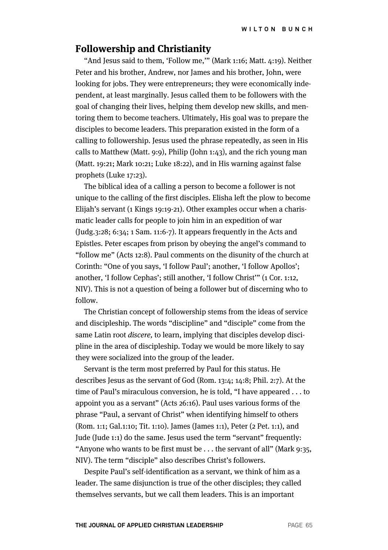#### **Followership and Christianity**

"And Jesus said to them, 'Follow me,'" (Mark 1:16; Matt. 4:19). Neither Peter and his brother, Andrew, nor James and his brother, John, were looking for jobs. They were entrepreneurs; they were economically independent, at least marginally. Jesus called them to be followers with the goal of changing their lives, helping them develop new skills, and mentoring them to become teachers. Ultimately, His goal was to prepare the disciples to become leaders. This preparation existed in the form of a calling to followership. Jesus used the phrase repeatedly, as seen in His calls to Matthew (Matt. 9:9), Philip (John 1:43), and the rich young man (Matt. 19:21; Mark 10:21; Luke 18:22), and in His warning against false prophets (Luke 17:23).

The biblical idea of a calling a person to become a follower is not unique to the calling of the first disciples. Elisha left the plow to become Elijah's servant (1 Kings 19:19-21). Other examples occur when a charismatic leader calls for people to join him in an expedition of war (Judg.3:28; 6:34; 1 Sam. 11:6-7). It appears frequently in the Acts and Epistles. Peter escapes from prison by obeying the angel's command to "follow me" (Acts 12:8). Paul comments on the disunity of the church at Corinth: "One of you says, 'I follow Paul'; another, 'I follow Apollos'; another, 'I follow Cephas'; still another, 'I follow Christ'" (1 Cor. 1:12, NIV). This is not a question of being a follower but of discerning who to follow.

The Christian concept of followership stems from the ideas of service and discipleship. The words "discipline" and "disciple" come from the same Latin root discere, to learn, implying that disciples develop discipline in the area of discipleship. Today we would be more likely to say they were socialized into the group of the leader.

Servant is the term most preferred by Paul for this status. He describes Jesus as the servant of God (Rom. 13:4; 14:8; Phil. 2:7). At the time of Paul's miraculous conversion, he is told, "I have appeared . . . to appoint you as a servant" (Acts 26:16). Paul uses various forms of the phrase "Paul, a servant of Christ" when identifying himself to others (Rom. 1:1; Gal.1:10; Tit. 1:10). James (James 1:1), Peter (2 Pet. 1:1), and Jude (Jude 1:1) do the same. Jesus used the term "servant" frequently: "Anyone who wants to be first must be . . . the servant of all" (Mark 9:35, NIV). The term "disciple" also describes Christ's followers.

Despite Paul's self-identification as a servant, we think of him as a leader. The same disjunction is true of the other disciples; they called themselves servants, but we call them leaders. This is an important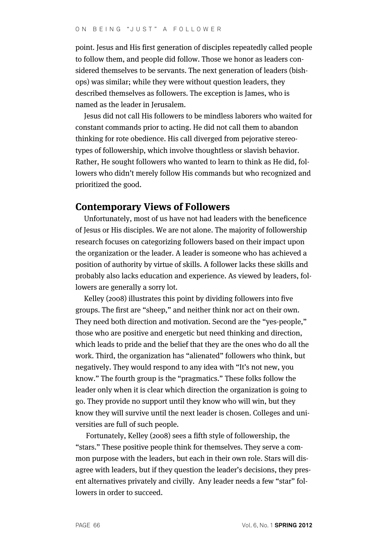point. Jesus and His first generation of disciples repeatedly called people to follow them, and people did follow. Those we honor as leaders considered themselves to be servants. The next generation of leaders (bishops) was similar; while they were without question leaders, they described themselves as followers. The exception is James, who is named as the leader in Jerusalem.

Jesus did not call His followers to be mindless laborers who waited for constant commands prior to acting. He did not call them to abandon thinking for rote obedience. His call diverged from pejorative stereotypes of followership, which involve thoughtless or slavish behavior. Rather, He sought followers who wanted to learn to think as He did, followers who didn't merely follow His commands but who recognized and prioritized the good.

## **Contemporary Views of Followers**

Unfortunately, most of us have not had leaders with the beneficence of Jesus or His disciples. We are not alone. The majority of followership research focuses on categorizing followers based on their impact upon the organization or the leader. A leader is someone who has achieved a position of authority by virtue of skills. A follower lacks these skills and probably also lacks education and experience. As viewed by leaders, followers are generally a sorry lot.

Kelley (2008) illustrates this point by dividing followers into five groups. The first are "sheep," and neither think nor act on their own. They need both direction and motivation. Second are the "yes-people," those who are positive and energetic but need thinking and direction, which leads to pride and the belief that they are the ones who do all the work. Third, the organization has "alienated" followers who think, but negatively. They would respond to any idea with "It's not new, you know." The fourth group is the "pragmatics." These folks follow the leader only when it is clear which direction the organization is going to go. They provide no support until they know who will win, but they know they will survive until the next leader is chosen. Colleges and universities are full of such people.

Fortunately, Kelley (2008) sees a fifth style of followership, the "stars." These positive people think for themselves. They serve a common purpose with the leaders, but each in their own role. Stars will disagree with leaders, but if they question the leader's decisions, they present alternatives privately and civilly. Any leader needs a few "star" followers in order to succeed.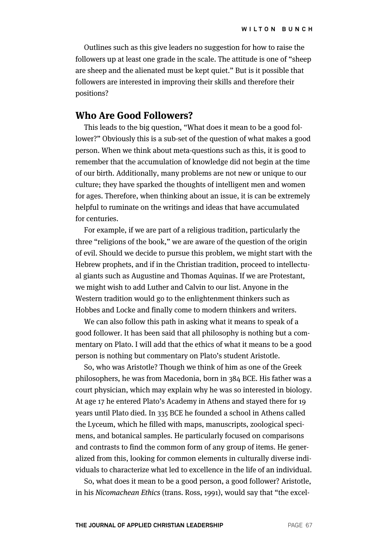Outlines such as this give leaders no suggestion for how to raise the followers up at least one grade in the scale. The attitude is one of "sheep are sheep and the alienated must be kept quiet." But is it possible that followers are interested in improving their skills and therefore their positions?

#### **Who Are Good Followers?**

This leads to the big question, "What does it mean to be a good follower?" Obviously this is a sub-set of the question of what makes a good person. When we think about meta-questions such as this, it is good to remember that the accumulation of knowledge did not begin at the time of our birth. Additionally, many problems are not new or unique to our culture; they have sparked the thoughts of intelligent men and women for ages. Therefore, when thinking about an issue, it is can be extremely helpful to ruminate on the writings and ideas that have accumulated for centuries.

For example, if we are part of a religious tradition, particularly the three "religions of the book," we are aware of the question of the origin of evil. Should we decide to pursue this problem, we might start with the Hebrew prophets, and if in the Christian tradition, proceed to intellectual giants such as Augustine and Thomas Aquinas. If we are Protestant, we might wish to add Luther and Calvin to our list. Anyone in the Western tradition would go to the enlightenment thinkers such as Hobbes and Locke and finally come to modern thinkers and writers.

We can also follow this path in asking what it means to speak of a good follower. It has been said that all philosophy is nothing but a commentary on Plato. I will add that the ethics of what it means to be a good person is nothing but commentary on Plato's student Aristotle.

So, who was Aristotle? Though we think of him as one of the Greek philosophers, he was from Macedonia, born in 384 BCE. His father was a court physician, which may explain why he was so interested in biology. At age 17 he entered Plato's Academy in Athens and stayed there for 19 years until Plato died. In 335 BCE he founded a school in Athens called the Lyceum, which he filled with maps, manuscripts, zoological specimens, and botanical samples. He particularly focused on comparisons and contrasts to find the common form of any group of items. He generalized from this, looking for common elements in culturally diverse individuals to characterize what led to excellence in the life of an individual.

So, what does it mean to be a good person, a good follower? Aristotle, in his Nicomachean Ethics (trans. Ross, 1991), would say that "the excel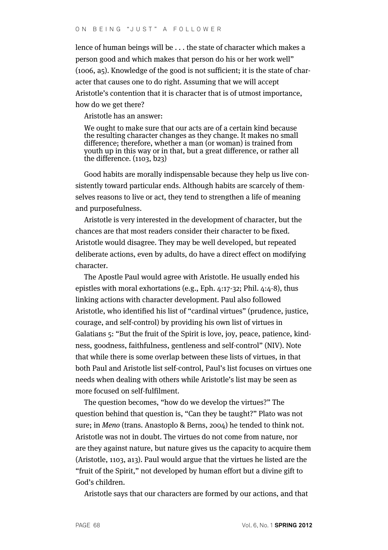lence of human beings will be . . . the state of character which makes a person good and which makes that person do his or her work well" (1006, a5). Knowledge of the good is not sufficient; it is the state of character that causes one to do right. Assuming that we will accept Aristotle's contention that it is character that is of utmost importance, how do we get there?

Aristotle has an answer:

We ought to make sure that our acts are of a certain kind because the resulting character changes as they change. It makes no small difference; therefore, whether a man (or woman) is trained from youth up in this way or in that, but a great difference, or rather all the difference. (1103, b23)

Good habits are morally indispensable because they help us live consistently toward particular ends. Although habits are scarcely of themselves reasons to live or act, they tend to strengthen a life of meaning and purposefulness.

Aristotle is very interested in the development of character, but the chances are that most readers consider their character to be fixed. Aristotle would disagree. They may be well developed, but repeated deliberate actions, even by adults, do have a direct effect on modifying character.

The Apostle Paul would agree with Aristotle. He usually ended his epistles with moral exhortations (e.g., Eph. 4:17-32; Phil. 4:4-8), thus linking actions with character development. Paul also followed Aristotle, who identified his list of "cardinal virtues" (prudence, justice, courage, and self-control) by providing his own list of virtues in Galatians 5: "But the fruit of the Spirit is love, joy, peace, patience, kindness, goodness, faithfulness, gentleness and self-control" (NIV). Note that while there is some overlap between these lists of virtues, in that both Paul and Aristotle list self-control, Paul's list focuses on virtues one needs when dealing with others while Aristotle's list may be seen as more focused on self-fulfilment.

The question becomes, "how do we develop the virtues?" The question behind that question is, "Can they be taught?" Plato was not sure; in Meno (trans. Anastoplo & Berns, 2004) he tended to think not. Aristotle was not in doubt. The virtues do not come from nature, nor are they against nature, but nature gives us the capacity to acquire them (Aristotle, 1103, a13). Paul would argue that the virtues he listed are the "fruit of the Spirit," not developed by human effort but a divine gift to God's children.

Aristotle says that our characters are formed by our actions, and that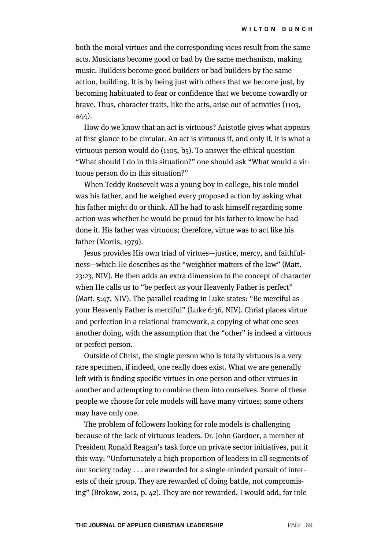both the moral virtues and the corresponding vices result from the same acts. Musicians become good or bad by the same mechanism, making music. Builders become good builders or bad builders by the same action, building. It is by being just with others that we become just, by becoming habituated to fear or confidence that we become cowardly or brave. Thus, character traits, like the arts, arise out of activities (1103, a44).

How do we know that an act is virtuous? Aristotle gives what appears at first glance to be circular. An act is virtuous if, and only if, it is what a virtuous person would do (1105, b5). To answer the ethical question "What should I do in this situation?" one should ask "What would a virtuous person do in this situation?"

When Teddy Roosevelt was a young boy in college, his role model was his father, and he weighed every proposed action by asking what his father might do or think. All he had to ask himself regarding some action was whether he would be proud for his father to know he had done it. His father was virtuous; therefore, virtue was to act like his father (Morris, 1979).

Jesus provides His own triad of virtues—justice, mercy, and faithfulness—which He describes as the "weightier matters of the law" (Matt. 23:23, NIV). He then adds an extra dimension to the concept of character when He calls us to "be perfect as your Heavenly Father is perfect" (Matt. 5:47, NIV). The parallel reading in Luke states: "Be merciful as your Heavenly Father is merciful" (Luke 6:36, NIV). Christ places virtue and perfection in a relational framework, a copying of what one sees another doing, with the assumption that the "other" is indeed a virtuous or perfect person.

Outside of Christ, the single person who is totally virtuous is a very rare specimen, if indeed, one really does exist. What we are generally left with is finding specific virtues in one person and other virtues in another and attempting to combine them into ourselves. Some of these people we choose for role models will have many virtues; some others may have only one.

The problem of followers looking for role models is challenging because of the lack of virtuous leaders. Dr. John Gardner, a member of President Ronald Reagan's task force on private sector initiatives, put it this way: "Unfortunately a high proportion of leaders in all segments of our society today . . . are rewarded for a single-minded pursuit of interests of their group. They are rewarded of doing battle, not compromising" (Brokaw, 2012, p. 42). They are not rewarded, I would add, for role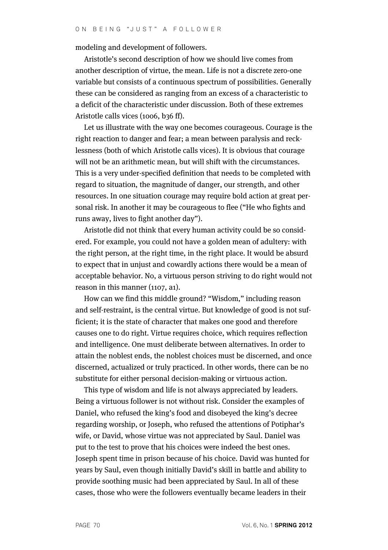modeling and development of followers.

Aristotle's second description of how we should live comes from another description of virtue, the mean. Life is not a discrete zero-one variable but consists of a continuous spectrum of possibilities. Generally these can be considered as ranging from an excess of a characteristic to a deficit of the characteristic under discussion. Both of these extremes Aristotle calls vices (1006, b36 ff).

Let us illustrate with the way one becomes courageous. Courage is the right reaction to danger and fear; a mean between paralysis and recklessness (both of which Aristotle calls vices). It is obvious that courage will not be an arithmetic mean, but will shift with the circumstances. This is a very under-specified definition that needs to be completed with regard to situation, the magnitude of danger, our strength, and other resources. In one situation courage may require bold action at great personal risk. In another it may be courageous to flee ("He who fights and runs away, lives to fight another day").

Aristotle did not think that every human activity could be so considered. For example, you could not have a golden mean of adultery: with the right person, at the right time, in the right place. It would be absurd to expect that in unjust and cowardly actions there would be a mean of acceptable behavior. No, a virtuous person striving to do right would not reason in this manner (1107, a1).

How can we find this middle ground? "Wisdom," including reason and self-restraint, is the central virtue. But knowledge of good is not sufficient; it is the state of character that makes one good and therefore causes one to do right. Virtue requires choice, which requires reflection and intelligence. One must deliberate between alternatives. In order to attain the noblest ends, the noblest choices must be discerned, and once discerned, actualized or truly practiced. In other words, there can be no substitute for either personal decision-making or virtuous action.

This type of wisdom and life is not always appreciated by leaders. Being a virtuous follower is not without risk. Consider the examples of Daniel, who refused the king's food and disobeyed the king's decree regarding worship, or Joseph, who refused the attentions of Potiphar's wife, or David, whose virtue was not appreciated by Saul. Daniel was put to the test to prove that his choices were indeed the best ones. Joseph spent time in prison because of his choice. David was hunted for years by Saul, even though initially David's skill in battle and ability to provide soothing music had been appreciated by Saul. In all of these cases, those who were the followers eventually became leaders in their